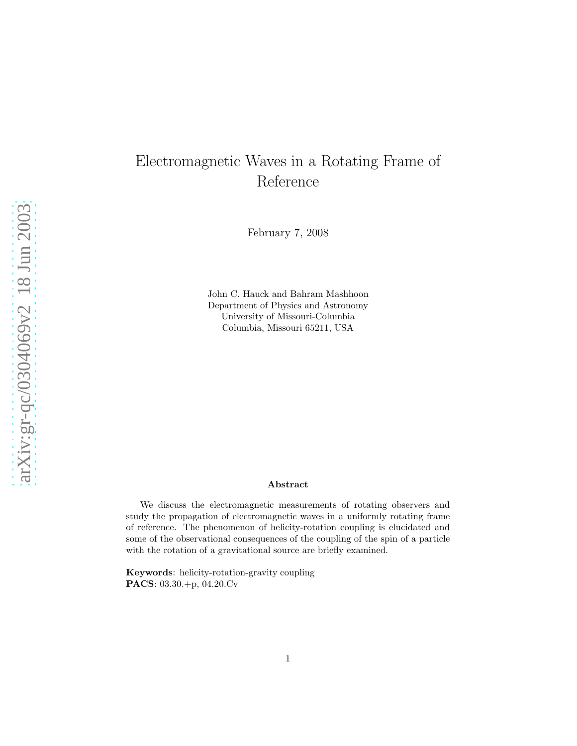# Electromagnetic Waves in a Rotating Frame of Reference

February 7, 2008

John C. Hauck and Bahram Mashhoon Department of Physics and Astronomy University of Missouri-Columbia Columbia, Missouri 65211, USA

#### Abstract

We discuss the electromagnetic measurements of rotating observers and study the propagation of electromagnetic waves in a uniformly rotating frame of reference. The phenomenon of helicity-rotation coupling is elucidated and some of the observational consequences of the coupling of the spin of a particle with the rotation of a gravitational source are briefly examined.

Keywords: helicity-rotation-gravity coupling PACS: 03.30.+p, 04.20.Cv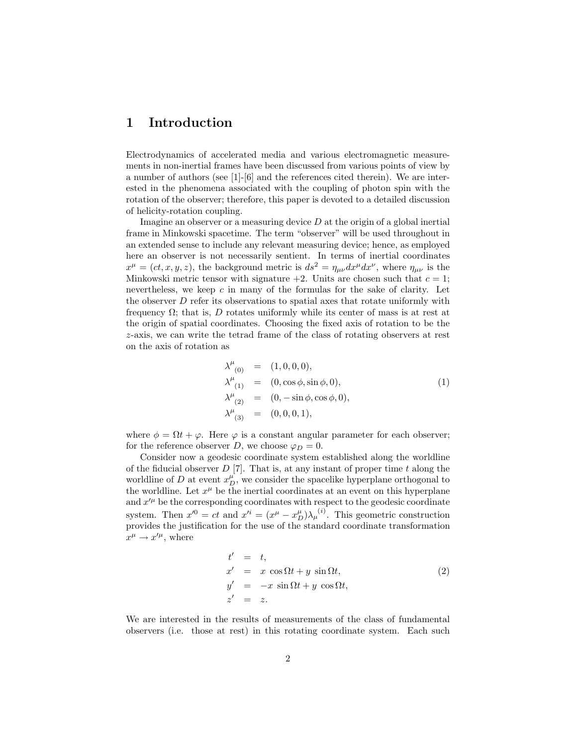## 1 Introduction

Electrodynamics of accelerated media and various electromagnetic measurements in non-inertial frames have been discussed from various points of view by a number of authors (see [1]-[6] and the references cited therein). We are interested in the phenomena associated with the coupling of photon spin with the rotation of the observer; therefore, this paper is devoted to a detailed discussion of helicity-rotation coupling.

Imagine an observer or a measuring device  $D$  at the origin of a global inertial frame in Minkowski spacetime. The term "observer" will be used throughout in an extended sense to include any relevant measuring device; hence, as employed here an observer is not necessarily sentient. In terms of inertial coordinates  $x^{\mu} = (ct, x, y, z)$ , the background metric is  $ds^{2} = \eta_{\mu\nu} dx^{\mu} dx^{\nu}$ , where  $\eta_{\mu\nu}$  is the Minkowski metric tensor with signature  $+2$ . Units are chosen such that  $c = 1$ ; nevertheless, we keep  $c$  in many of the formulas for the sake of clarity. Let the observer  $D$  refer its observations to spatial axes that rotate uniformly with frequency  $\Omega$ ; that is, D rotates uniformly while its center of mass is at rest at the origin of spatial coordinates. Choosing the fixed axis of rotation to be the z-axis, we can write the tetrad frame of the class of rotating observers at rest on the axis of rotation as

<span id="page-1-0"></span>
$$
\lambda^{\mu}_{(0)} = (1,0,0,0), \n\lambda^{\mu}_{(1)} = (0, \cos \phi, \sin \phi, 0), \n\lambda^{\mu}_{(2)} = (0, -\sin \phi, \cos \phi, 0), \n\lambda^{\mu}_{(3)} = (0,0,0,1),
$$
\n(1)

where  $\phi = \Omega t + \varphi$ . Here  $\varphi$  is a constant angular parameter for each observer; for the reference observer D, we choose  $\varphi_D = 0$ .

Consider now a geodesic coordinate system established along the worldline of the fiducial observer  $D$  [7]. That is, at any instant of proper time t along the worldline of D at event  $x_D^{\mu}$ , we consider the spacelike hyperplane orthogonal to the worldline. Let  $x^{\mu}$  be the inertial coordinates at an event on this hyperplane and  $x^{\prime\mu}$  be the corresponding coordinates with respect to the geodesic coordinate system. Then  $x'^0 = ct$  and  $x'^i = (x^\mu - x_D^\mu)\lambda_\mu^{(i)}$ . This geometric construction provides the justification for the use of the standard coordinate transformation  $x^{\mu} \rightarrow x^{\prime \mu}$ , where

$$
t' = t,
$$
  
\n
$$
x' = x \cos \Omega t + y \sin \Omega t,
$$
  
\n
$$
y' = -x \sin \Omega t + y \cos \Omega t,
$$
  
\n
$$
z' = z.
$$
\n(2)

We are interested in the results of measurements of the class of fundamental observers (i.e. those at rest) in this rotating coordinate system. Each such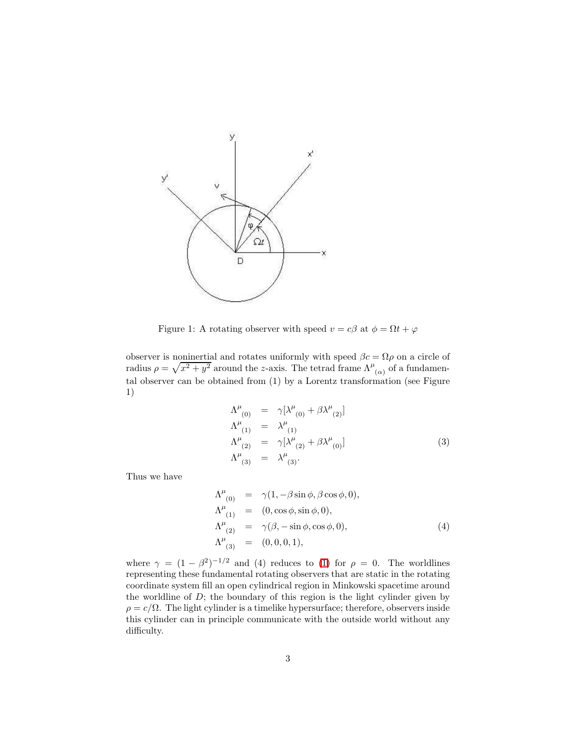

Figure 1: A rotating observer with speed  $v = c\beta$  at  $\phi = \Omega t + \varphi$ 

observer is noninertial and rotates uniformly with speed  $\beta c = \Omega \rho$  on a circle of radius  $\rho = \sqrt{x^2 + y^2}$  around the z-axis. The tetrad frame  $\Lambda^{\mu}{}_{(\alpha)}$  of a fundamental observer can be obtained from (1) by a Lorentz transformation (see Figure 1)

$$
\Lambda^{\mu}_{(0)} = \gamma[\lambda^{\mu}_{(0)} + \beta \lambda^{\mu}_{(2)}] \n\Lambda^{\mu}_{(1)} = \lambda^{\mu}_{(1)} \n\Lambda^{\mu}_{(2)} = \gamma[\lambda^{\mu}_{(2)} + \beta \lambda^{\mu}_{(0)}] \n\Lambda^{\mu}_{(3)} = \lambda^{\mu}_{(3)}.
$$
\n(3)

Thus we have

$$
\Lambda^{\mu}_{(0)} = \gamma(1, -\beta \sin \phi, \beta \cos \phi, 0), \Lambda^{\mu}_{(1)} = (0, \cos \phi, \sin \phi, 0), \Lambda^{\mu}_{(2)} = \gamma(\beta, -\sin \phi, \cos \phi, 0), \Lambda^{\mu}_{(3)} = (0, 0, 0, 1),
$$
\n(4)

where  $\gamma = (1 - \beta^2)^{-1/2}$  and (4) reduces to [\(1\)](#page-1-0) for  $\rho = 0$ . The worldlines representing these fundamental rotating observers that are static in the rotating coordinate system fill an open cylindrical region in Minkowski spacetime around the worldline of  $D$ ; the boundary of this region is the light cylinder given by  $\rho = c/\Omega$ . The light cylinder is a timelike hypersurface; therefore, observers inside this cylinder can in principle communicate with the outside world without any difficulty.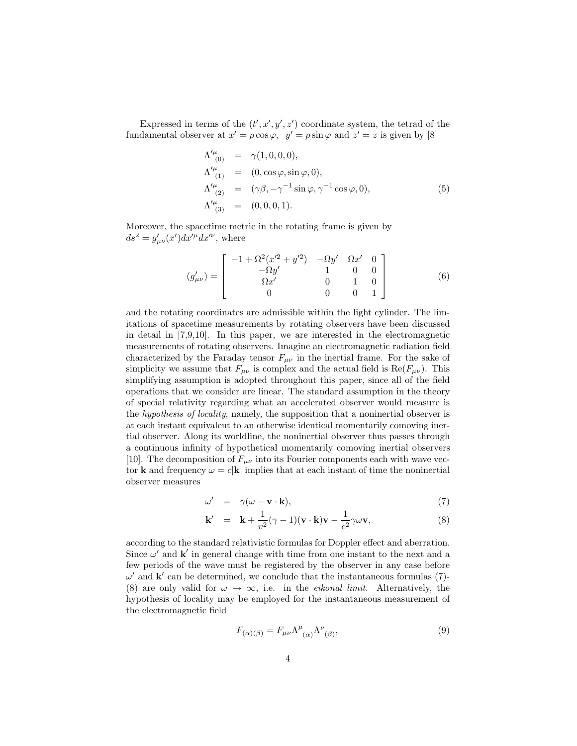Expressed in terms of the  $(t', x', y', z')$  coordinate system, the tetrad of the fundamental observer at  $x' = \rho \cos \varphi$ ,  $y' = \rho \sin \varphi$  and  $z' = z$  is given by [8]

$$
\Lambda^{\prime\mu}_{(0)} = \gamma(1,0,0,0), \n\Lambda^{\prime\mu}_{(1)} = (0,\cos\varphi,\sin\varphi,0), \n\Lambda^{\prime\mu}_{(2)} = (\gamma\beta,-\gamma^{-1}\sin\varphi,\gamma^{-1}\cos\varphi,0), \n\Lambda^{\prime\mu}_{(3)} = (0,0,0,1).
$$
\n(5)

Moreover, the spacetime metric in the rotating frame is given by  $ds^2 = g'_{\mu\nu}(x')dx'^{\mu}dx'^{\nu}$ , where

$$
(g'_{\mu\nu}) = \begin{bmatrix} -1 + \Omega^2 (x'^2 + y'^2) & -\Omega y' & \Omega x' & 0\\ -\Omega y' & 1 & 0 & 0\\ \Omega x' & 0 & 1 & 0\\ 0 & 0 & 0 & 1 \end{bmatrix}
$$
 (6)

and the rotating coordinates are admissible within the light cylinder. The limitations of spacetime measurements by rotating observers have been discussed in detail in [7,9,10]. In this paper, we are interested in the electromagnetic measurements of rotating observers. Imagine an electromagnetic radiation field characterized by the Faraday tensor  $F_{\mu\nu}$  in the inertial frame. For the sake of simplicity we assume that  $F_{\mu\nu}$  is complex and the actual field is  $\text{Re}(F_{\mu\nu})$ . This simplifying assumption is adopted throughout this paper, since all of the field operations that we consider are linear. The standard assumption in the theory of special relativity regarding what an accelerated observer would measure is the hypothesis of locality, namely, the supposition that a noninertial observer is at each instant equivalent to an otherwise identical momentarily comoving inertial observer. Along its worldline, the noninertial observer thus passes through a continuous infinity of hypothetical momentarily comoving inertial observers [10]. The decomposition of  $F_{\mu\nu}$  into its Fourier components each with wave vector **k** and frequency  $\omega = c|\mathbf{k}|$  implies that at each instant of time the noninertial observer measures

$$
\omega' = \gamma(\omega - \mathbf{v} \cdot \mathbf{k}), \tag{7}
$$

$$
\mathbf{k}' = \mathbf{k} + \frac{1}{v^2}(\gamma - 1)(\mathbf{v} \cdot \mathbf{k})\mathbf{v} - \frac{1}{c^2}\gamma \omega \mathbf{v},
$$
 (8)

according to the standard relativistic formulas for Doppler effect and aberration. Since  $\omega'$  and  $\mathbf{k}'$  in general change with time from one instant to the next and a few periods of the wave must be registered by the observer in any case before  $\omega'$  and  $\mathbf{k}'$  can be determined, we conclude that the instantaneous formulas (7)-(8) are only valid for  $\omega \to \infty$ , i.e. in the *eikonal limit*. Alternatively, the hypothesis of locality may be employed for the instantaneous measurement of the electromagnetic field

$$
F_{(\alpha)(\beta)} = F_{\mu\nu} \Lambda^{\mu}{}_{(\alpha)} \Lambda^{\nu}{}_{(\beta)},\tag{9}
$$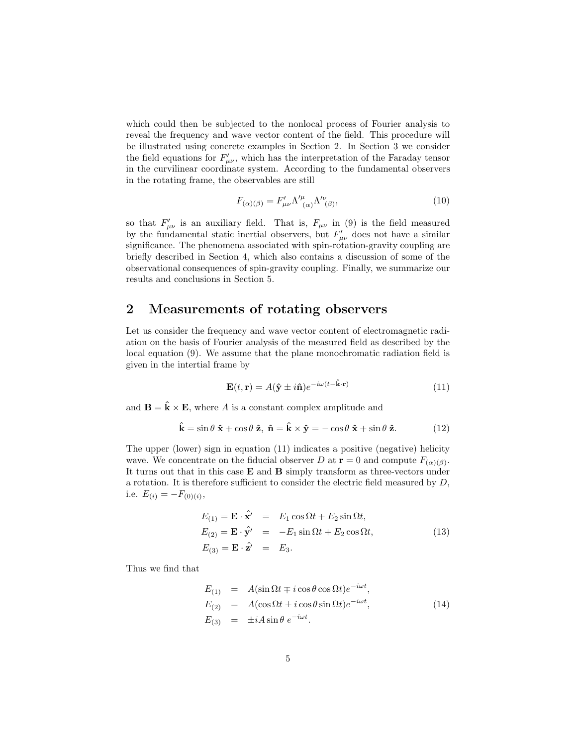which could then be subjected to the nonlocal process of Fourier analysis to reveal the frequency and wave vector content of the field. This procedure will be illustrated using concrete examples in Section 2. In Section 3 we consider the field equations for  $F'_{\mu\nu}$ , which has the interpretation of the Faraday tensor in the curvilinear coordinate system. According to the fundamental observers in the rotating frame, the observables are still

$$
F_{(\alpha)(\beta)} = F'_{\mu\nu} \Lambda'^{\mu}_{\ (\alpha)} \Lambda'^{\nu}_{(\beta)},\tag{10}
$$

so that  $F'_{\mu\nu}$  is an auxiliary field. That is,  $F_{\mu\nu}$  in (9) is the field measured by the fundamental static inertial observers, but  $F'_{\mu\nu}$  does not have a similar significance. The phenomena associated with spin-rotation-gravity coupling are briefly described in Section 4, which also contains a discussion of some of the observational consequences of spin-gravity coupling. Finally, we summarize our results and conclusions in Section 5.

## 2 Measurements of rotating observers

Let us consider the frequency and wave vector content of electromagnetic radiation on the basis of Fourier analysis of the measured field as described by the local equation (9). We assume that the plane monochromatic radiation field is given in the intertial frame by

$$
\mathbf{E}(t, \mathbf{r}) = A(\hat{\mathbf{y}} \pm i\hat{\mathbf{n}}) e^{-i\omega(t - \hat{\mathbf{k}} \cdot \mathbf{r})}
$$
(11)

and  $\mathbf{B} = \hat{\mathbf{k}} \times \mathbf{E}$ , where A is a constant complex amplitude and

$$
\hat{\mathbf{k}} = \sin \theta \; \hat{\mathbf{x}} + \cos \theta \; \hat{\mathbf{z}}, \; \hat{\mathbf{n}} = \hat{\mathbf{k}} \times \hat{\mathbf{y}} = -\cos \theta \; \hat{\mathbf{x}} + \sin \theta \; \hat{\mathbf{z}}.
$$
 (12)

The upper (lower) sign in equation (11) indicates a positive (negative) helicity wave. We concentrate on the fiducial observer D at  $\mathbf{r} = 0$  and compute  $F_{(\alpha)(\beta)}$ . It turns out that in this case E and B simply transform as three-vectors under a rotation. It is therefore sufficient to consider the electric field measured by  $D$ , i.e.  $E_{(i)} = -F_{(0)(i)},$ 

$$
E_{(1)} = \mathbf{E} \cdot \hat{\mathbf{x}}' = E_1 \cos \Omega t + E_2 \sin \Omega t,
$$
  
\n
$$
E_{(2)} = \mathbf{E} \cdot \hat{\mathbf{y}}' = -E_1 \sin \Omega t + E_2 \cos \Omega t,
$$
  
\n
$$
E_{(3)} = \mathbf{E} \cdot \hat{\mathbf{z}}' = E_3.
$$
\n(13)

Thus we find that

$$
E_{(1)} = A(\sin \Omega t \mp i \cos \theta \cos \Omega t)e^{-i\omega t},
$$
  
\n
$$
E_{(2)} = A(\cos \Omega t \pm i \cos \theta \sin \Omega t)e^{-i\omega t},
$$
  
\n
$$
E_{(3)} = \pm iA \sin \theta e^{-i\omega t}.
$$
\n(14)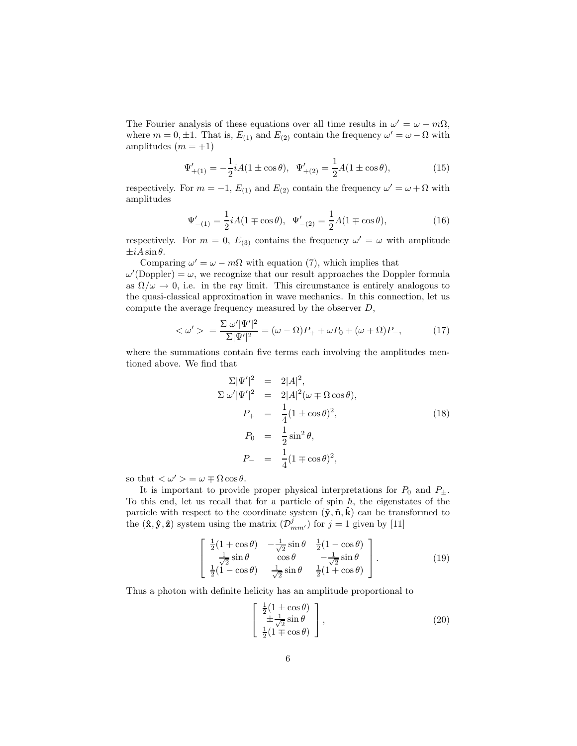The Fourier analysis of these equations over all time results in  $\omega' = \omega - m\Omega$ , where  $m = 0, \pm 1$ . That is,  $E_{(1)}$  and  $E_{(2)}$  contain the frequency  $\omega' = \omega - \Omega$  with amplitudes  $(m = +1)$ 

$$
\Psi'_{+(1)} = -\frac{1}{2}iA(1 \pm \cos \theta), \quad \Psi'_{+(2)} = \frac{1}{2}A(1 \pm \cos \theta), \tag{15}
$$

respectively. For  $m = -1$ ,  $E_{(1)}$  and  $E_{(2)}$  contain the frequency  $\omega' = \omega + \Omega$  with amplitudes

$$
\Psi'_{-(1)} = \frac{1}{2} iA(1 \mp \cos \theta), \quad \Psi'_{-(2)} = \frac{1}{2} A(1 \mp \cos \theta), \tag{16}
$$

respectively. For  $m = 0$ ,  $E_{(3)}$  contains the frequency  $\omega' = \omega$  with amplitude  $\pm iA\sin\theta$ .

Comparing  $\omega' = \omega - m\Omega$  with equation (7), which implies that  $\omega'(\text{Doppler}) = \omega$ , we recognize that our result approaches the Doppler formula as  $\Omega/\omega \to 0$ , i.e. in the ray limit. This circumstance is entirely analogous to the quasi-classical approximation in wave mechanics. In this connection, let us compute the average frequency measured by the observer D,

$$
\langle \omega' \rangle = \frac{\Sigma \omega' |\Psi'|^2}{\Sigma |\Psi'|^2} = (\omega - \Omega)P_+ + \omega P_0 + (\omega + \Omega)P_-, \tag{17}
$$

where the summations contain five terms each involving the amplitudes mentioned above. We find that

$$
\Sigma |\Psi'|^2 = 2|A|^2,
$$
  
\n
$$
\Sigma \omega' |\Psi'|^2 = 2|A|^2 (\omega \mp \Omega \cos \theta),
$$
  
\n
$$
P_+ = \frac{1}{4} (1 \pm \cos \theta)^2,
$$
  
\n
$$
P_0 = \frac{1}{2} \sin^2 \theta,
$$
  
\n
$$
P_- = \frac{1}{4} (1 \mp \cos \theta)^2,
$$
\n(18)

so that  $\langle \omega' \rangle = \omega \mp \Omega \cos \theta$ .

It is important to provide proper physical interpretations for  $P_0$  and  $P_{\pm}$ . To this end, let us recall that for a particle of spin  $\hbar$ , the eigenstates of the particle with respect to the coordinate system  $(\hat{y}, \hat{n}, \hat{k})$  can be transformed to the  $(\hat{\mathbf{x}}, \hat{\mathbf{y}}, \hat{\mathbf{z}})$  system using the matrix  $(\mathcal{D}_{mm'}^j)$  for  $j = 1$  given by [11]

$$
\begin{bmatrix}\n\frac{1}{2}(1+\cos\theta) & -\frac{1}{\sqrt{2}}\sin\theta & \frac{1}{2}(1-\cos\theta) \\
\frac{1}{\sqrt{2}}\sin\theta & \cos\theta & -\frac{1}{\sqrt{2}}\sin\theta \\
\frac{1}{2}(1-\cos\theta) & \frac{1}{\sqrt{2}}\sin\theta & \frac{1}{2}(1+\cos\theta)\n\end{bmatrix}.
$$
\n(19)

Thus a photon with definite helicity has an amplitude proportional to

$$
\begin{bmatrix}\n\frac{1}{2}(1 \pm \cos \theta) \\
\pm \frac{1}{\sqrt{2}}\sin \theta \\
\frac{1}{2}(1 \mp \cos \theta)\n\end{bmatrix},
$$
\n(20)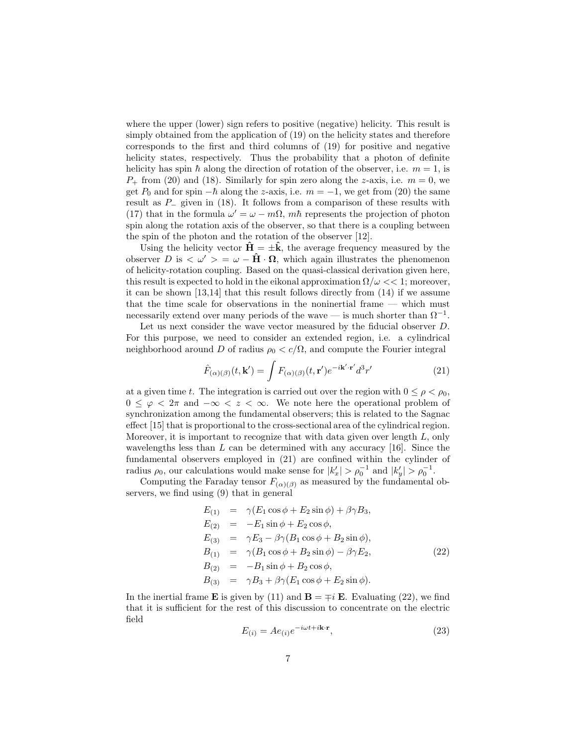where the upper (lower) sign refers to positive (negative) helicity. This result is simply obtained from the application of (19) on the helicity states and therefore corresponds to the first and third columns of (19) for positive and negative helicity states, respectively. Thus the probability that a photon of definite helicity has spin  $\hbar$  along the direction of rotation of the observer, i.e.  $m = 1$ , is  $P_{+}$  from (20) and (18). Similarly for spin zero along the z-axis, i.e.  $m = 0$ , we get  $P_0$  and for spin  $-\hbar$  along the z-axis, i.e.  $m = -1$ , we get from (20) the same result as P<sup>−</sup> given in (18). It follows from a comparison of these results with (17) that in the formula  $\omega' = \omega - m\Omega$ ,  $m\hbar$  represents the projection of photon spin along the rotation axis of the observer, so that there is a coupling between the spin of the photon and the rotation of the observer [12].

Using the helicity vector  $\hat{H} = \pm \hat{k}$ , the average frequency measured by the observer D is  $\langle \omega' \rangle = \omega - \hat{H} \cdot \Omega$ , which again illustrates the phenomenon of helicity-rotation coupling. Based on the quasi-classical derivation given here, this result is expected to hold in the eikonal approximation  $\Omega/\omega \ll 1$ ; moreover, it can be shown [13,14] that this result follows directly from (14) if we assume that the time scale for observations in the noninertial frame — which must necessarily extend over many periods of the wave — is much shorter than  $\Omega^{-1}$ .

Let us next consider the wave vector measured by the fiducial observer D. For this purpose, we need to consider an extended region, i.e. a cylindrical neighborhood around D of radius  $\rho_0 < c/\Omega$ , and compute the Fourier integral

$$
\hat{F}_{(\alpha)(\beta)}(t, \mathbf{k}') = \int F_{(\alpha)(\beta)}(t, \mathbf{r}') e^{-i\mathbf{k}' \cdot \mathbf{r}'} d^3 r'
$$
\n(21)

at a given time t. The integration is carried out over the region with  $0 \leq \rho < \rho_0$ ,  $0 \leq \varphi < 2\pi$  and  $-\infty < z < \infty$ . We note here the operational problem of synchronization among the fundamental observers; this is related to the Sagnac effect [15] that is proportional to the cross-sectional area of the cylindrical region. Moreover, it is important to recognize that with data given over length  $L$ , only wavelengths less than  $L$  can be determined with any accuracy [16]. Since the fundamental observers employed in (21) are confined within the cylinder of radius  $\rho_0$ , our calculations would make sense for  $|k'_x| > \rho_0^{-1}$  and  $|k'_y| > \rho_0^{-1}$ .

Computing the Faraday tensor  $F_{(\alpha)(\beta)}$  as measured by the fundamental observers, we find using (9) that in general

$$
E_{(1)} = \gamma (E_1 \cos \phi + E_2 \sin \phi) + \beta \gamma B_3,
$$
  
\n
$$
E_{(2)} = -E_1 \sin \phi + E_2 \cos \phi,
$$
  
\n
$$
E_{(3)} = \gamma E_3 - \beta \gamma (B_1 \cos \phi + B_2 \sin \phi),
$$
  
\n
$$
B_{(1)} = \gamma (B_1 \cos \phi + B_2 \sin \phi) - \beta \gamma E_2,
$$
  
\n
$$
B_{(2)} = -B_1 \sin \phi + B_2 \cos \phi,
$$
  
\n
$$
B_{(3)} = \gamma B_3 + \beta \gamma (E_1 \cos \phi + E_2 \sin \phi).
$$
\n(22)

In the inertial frame **E** is given by (11) and  $\mathbf{B} = \mp i \mathbf{E}$ . Evaluating (22), we find that it is sufficient for the rest of this discussion to concentrate on the electric field

$$
E_{(i)} = Ae_{(i)}e^{-i\omega t + i\mathbf{k}\cdot\mathbf{r}},\qquad(23)
$$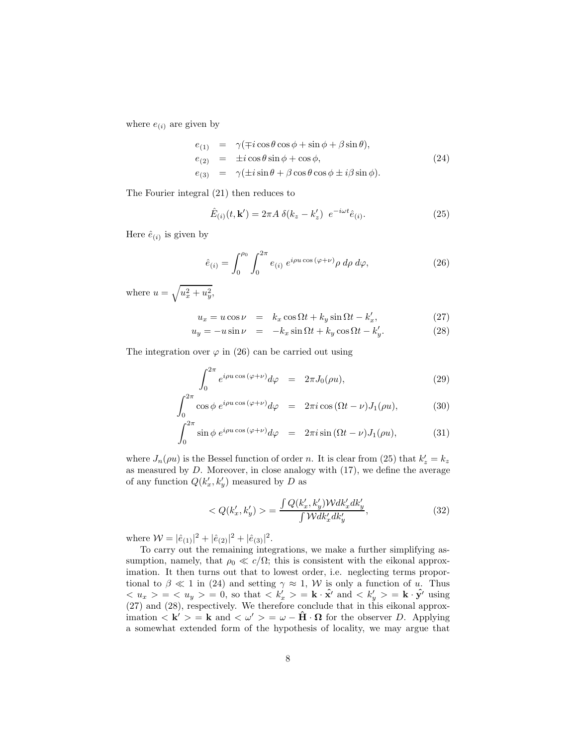where  $e_{(i)}$  are given by

$$
e_{(1)} = \gamma(\mp i \cos \theta \cos \phi + \sin \phi + \beta \sin \theta),
$$
  
\n
$$
e_{(2)} = \pm i \cos \theta \sin \phi + \cos \phi,
$$
  
\n
$$
e_{(3)} = \gamma(\pm i \sin \theta + \beta \cos \theta \cos \phi \pm i \beta \sin \phi).
$$
  
\n(24)

The Fourier integral (21) then reduces to

$$
\hat{E}_{(i)}(t, \mathbf{k}') = 2\pi A \ \delta(k_z - k_z') \ e^{-i\omega t} \hat{e}_{(i)}.
$$
\n
$$
(25)
$$

Here  $\hat{e}_{(i)}$  is given by

$$
\hat{e}_{(i)} = \int_0^{\rho_0} \int_0^{2\pi} e_{(i)} e^{i\rho u \cos(\varphi + \nu)} \rho \, d\rho \, d\varphi, \tag{26}
$$

where  $u = \sqrt{u_x^2 + u_y^2}$ ,

$$
u_x = u\cos\nu = k_x\cos\Omega t + k_y\sin\Omega t - k'_x,\tag{27}
$$

$$
u_y = -u\sin\nu = -k_x\sin\Omega t + k_y\cos\Omega t - k_y'.
$$
 (28)

The integration over  $\varphi$  in (26) can be carried out using

$$
\int_0^{2\pi} e^{i\rho u \cos(\varphi + \nu)} d\varphi = 2\pi J_0(\rho u), \tag{29}
$$

$$
\int_0^{2\pi} \cos \phi \ e^{i\rho u \cos (\varphi + \nu)} d\varphi = 2\pi i \cos (\Omega t - \nu) J_1(\rho u), \tag{30}
$$

$$
\int_0^{2\pi} \sin \phi \ e^{i\rho u \cos (\varphi + \nu)} d\varphi = 2\pi i \sin (\Omega t - \nu) J_1(\rho u), \tag{31}
$$

where  $J_n(\rho u)$  is the Bessel function of order n. It is clear from (25) that  $k'_z = k_z$ as measured by  $D$ . Moreover, in close analogy with  $(17)$ , we define the average of any function  $Q(k'_x, k'_y)$  measured by D as

$$
\langle Q(k'_x, k'_y) \rangle = \frac{\int Q(k'_x, k'_y) W dk'_x dk'_y}{\int W dk'_x dk'_y},\tag{32}
$$

where  $W = |\hat{e}_{(1)}|^2 + |\hat{e}_{(2)}|^2 + |\hat{e}_{(3)}|^2$ .

To carry out the remaining integrations, we make a further simplifying assumption, namely, that  $\rho_0 \ll c/\Omega$ ; this is consistent with the eikonal approximation. It then turns out that to lowest order, i.e. neglecting terms proportional to  $\beta \ll 1$  in (24) and setting  $\gamma \approx 1$ , W is only a function of u. Thus  $\langle u_x \rangle = \langle u_y \rangle = 0$ , so that  $\langle k'_x \rangle = \mathbf{k} \cdot \hat{\mathbf{x}}'$  and  $\langle k'_y \rangle = \mathbf{k} \cdot \hat{\mathbf{y}}'$  using (27) and (28), respectively. We therefore conclude that in this eikonal approximation  $\langle \mathbf{k}' \rangle = \mathbf{k}$  and  $\langle \omega' \rangle = \omega - \hat{\mathbf{H}} \cdot \mathbf{\Omega}$  for the observer D. Applying a somewhat extended form of the hypothesis of locality, we may argue that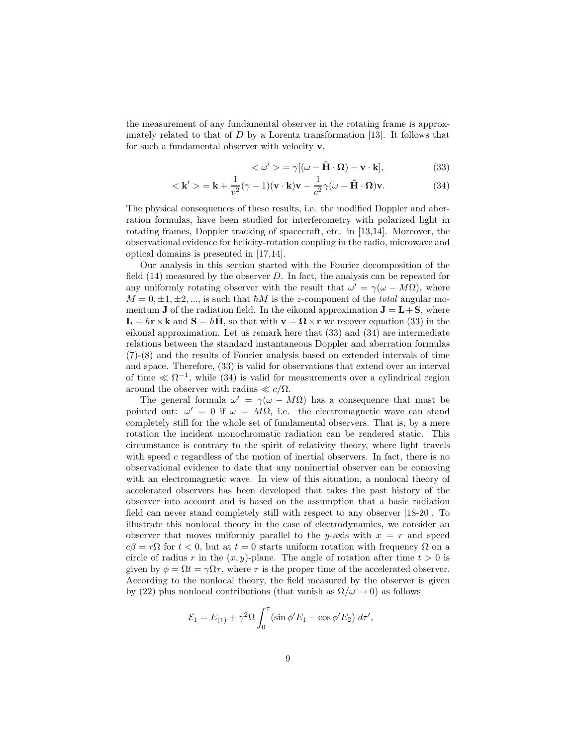the measurement of any fundamental observer in the rotating frame is approximately related to that of D by a Lorentz transformation [13]. It follows that for such a fundamental observer with velocity  $\mathbf{v}$ ,

$$
\langle \omega' \rangle = \gamma [(\omega - \hat{H} \cdot \Omega) - v \cdot k], \tag{33}
$$

$$
<\mathbf{k}' > \mathbf{k} + \frac{1}{v^2} (\gamma - 1)(\mathbf{v} \cdot \mathbf{k}) \mathbf{v} - \frac{1}{c^2} \gamma (\omega - \hat{\mathbf{H}} \cdot \mathbf{\Omega}) \mathbf{v}.
$$
 (34)

The physical consequences of these results, i.e. the modified Doppler and aberration formulas, have been studied for interferometry with polarized light in rotating frames, Doppler tracking of spacecraft, etc. in [13,14]. Moreover, the observational evidence for helicity-rotation coupling in the radio, microwave and optical domains is presented in [17,14].

Our analysis in this section started with the Fourier decomposition of the field  $(14)$  measured by the observer D. In fact, the analysis can be repeated for any uniformly rotating observer with the result that  $\omega' = \gamma(\omega - M\Omega)$ , where  $M = 0, \pm 1, \pm 2, \dots$ , is such that  $\hbar M$  is the z-component of the *total* angular momentum **J** of the radiation field. In the eikonal approximation  $J = L + S$ , where  $\mathbf{L} = \hbar \mathbf{r} \times \mathbf{k}$  and  $\mathbf{S} = \hbar \hat{\mathbf{H}}$ , so that with  $\mathbf{v} = \mathbf{\Omega} \times \mathbf{r}$  we recover equation (33) in the eikonal approximation. Let us remark here that (33) and (34) are intermediate relations between the standard instantaneous Doppler and aberration formulas (7)-(8) and the results of Fourier analysis based on extended intervals of time and space. Therefore, (33) is valid for observations that extend over an interval of time  $\ll \Omega^{-1}$ , while (34) is valid for measurements over a cylindrical region around the observer with radius  $\ll c/\Omega$ .

The general formula  $\omega' = \gamma(\omega - M\Omega)$  has a consequence that must be pointed out:  $\omega' = 0$  if  $\omega = M\Omega$ , i.e. the electromagnetic wave can stand completely still for the whole set of fundamental observers. That is, by a mere rotation the incident monochromatic radiation can be rendered static. This circumstance is contrary to the spirit of relativity theory, where light travels with speed c regardless of the motion of inertial observers. In fact, there is no observational evidence to date that any noninertial observer can be comoving with an electromagnetic wave. In view of this situation, a nonlocal theory of accelerated observers has been developed that takes the past history of the observer into account and is based on the assumption that a basic radiation field can never stand completely still with respect to any observer [18-20]. To illustrate this nonlocal theory in the case of electrodynamics, we consider an observer that moves uniformly parallel to the y-axis with  $x = r$  and speed  $c\beta = r\Omega$  for  $t < 0$ , but at  $t = 0$  starts uniform rotation with frequency  $\Omega$  on a circle of radius r in the  $(x, y)$ -plane. The angle of rotation after time  $t > 0$  is given by  $\phi = \Omega t = \gamma \Omega \tau$ , where  $\tau$  is the proper time of the accelerated observer. According to the nonlocal theory, the field measured by the observer is given by (22) plus nonlocal contributions (that vanish as  $\Omega/\omega \to 0$ ) as follows

$$
\mathcal{E}_1 = E_{(1)} + \gamma^2 \Omega \int_0^{\tau} (\sin \phi' E_1 - \cos \phi' E_2) d\tau',
$$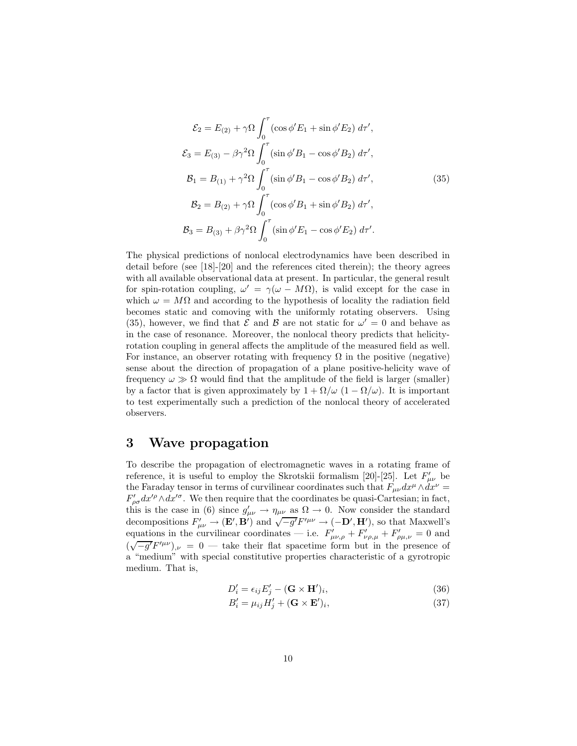$$
\mathcal{E}_2 = E_{(2)} + \gamma \Omega \int_0^{\tau} (\cos \phi' E_1 + \sin \phi' E_2) d\tau',
$$
  
\n
$$
\mathcal{E}_3 = E_{(3)} - \beta \gamma^2 \Omega \int_0^{\tau} (\sin \phi' B_1 - \cos \phi' B_2) d\tau',
$$
  
\n
$$
\mathcal{B}_1 = B_{(1)} + \gamma^2 \Omega \int_0^{\tau} (\sin \phi' B_1 - \cos \phi' B_2) d\tau',
$$
  
\n
$$
\mathcal{B}_2 = B_{(2)} + \gamma \Omega \int_0^{\tau} (\cos \phi' B_1 + \sin \phi' B_2) d\tau',
$$
  
\n
$$
\mathcal{B}_3 = B_{(3)} + \beta \gamma^2 \Omega \int_0^{\tau} (\sin \phi' E_1 - \cos \phi' E_2) d\tau'.
$$
  
\n(35)

The physical predictions of nonlocal electrodynamics have been described in detail before (see [18]-[20] and the references cited therein); the theory agrees with all available observational data at present. In particular, the general result for spin-rotation coupling,  $\omega' = \gamma(\omega - M\Omega)$ , is valid except for the case in which  $\omega = M\Omega$  and according to the hypothesis of locality the radiation field becomes static and comoving with the uniformly rotating observers. Using (35), however, we find that  $\mathcal E$  and  $\mathcal B$  are not static for  $\omega' = 0$  and behave as in the case of resonance. Moreover, the nonlocal theory predicts that helicityrotation coupling in general affects the amplitude of the measured field as well. For instance, an observer rotating with frequency  $\Omega$  in the positive (negative) sense about the direction of propagation of a plane positive-helicity wave of frequency  $\omega \gg \Omega$  would find that the amplitude of the field is larger (smaller) by a factor that is given approximately by  $1 + \Omega/\omega$  ( $1 - \Omega/\omega$ ). It is important to test experimentally such a prediction of the nonlocal theory of accelerated observers.

#### 3 Wave propagation

To describe the propagation of electromagnetic waves in a rotating frame of reference, it is useful to employ the Skrotskii formalism [20]-[25]. Let  $F'_{\mu\nu}$  be the Faraday tensor in terms of curvilinear coordinates such that  $F_{\mu\nu}dx^{\mu}\wedge dx^{\nu} =$  $F'_{\rho\sigma}dx'^{\rho}\wedge dx'^{\sigma}$ . We then require that the coordinates be quasi-Cartesian; in fact, this is the case in (6) since  $g'_{\mu\nu} \to \eta_{\mu\nu}$  as  $\Omega \to 0$ . Now consider the standard decompositions  $F'_{\mu\nu} \to (\mathbf{E}', \mathbf{B}')$  and  $\sqrt{-g'}F'^{\mu\nu} \to (-\mathbf{D}', \mathbf{H}')$ , so that Maxwell's equations in the curvilinear coordinates — i.e.  $F'_{\mu\nu,\rho} + F'_{\nu\rho,\mu} + F'_{\rho\mu,\nu} = 0$  and  $(\sqrt{-g'}F'^{\mu\nu})_{,\nu} = 0$  — take their flat spacetime form but in the presence of a "medium" with special constitutive properties characteristic of a gyrotropic medium. That is,

$$
D_i' = \epsilon_{ij} E_j' - (\mathbf{G} \times \mathbf{H}')_i,\tag{36}
$$

$$
B_i' = \mu_{ij} H_j' + (\mathbf{G} \times \mathbf{E}')_i,\tag{37}
$$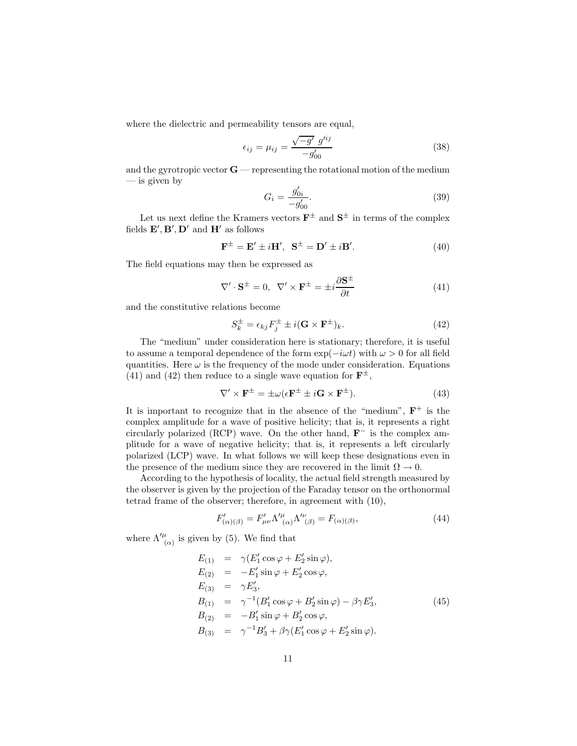where the dielectric and permeability tensors are equal,

$$
\epsilon_{ij} = \mu_{ij} = \frac{\sqrt{-g'} \ g'^{ij}}{-g'_{00}} \tag{38}
$$

and the gyrotropic vector  $G$  — representing the rotational motion of the medium — is given by

$$
G_i = \frac{g'_{0i}}{-g'_{00}}.\tag{39}
$$

Let us next define the Kramers vectors  $\mathbf{F}^{\pm}$  and  $\mathbf{S}^{\pm}$  in terms of the complex fields  $\mathbf{E}', \mathbf{B}', \mathbf{D}'$  and  $\mathbf{H}'$  as follows

$$
\mathbf{F}^{\pm} = \mathbf{E}' \pm i\mathbf{H}', \ \mathbf{S}^{\pm} = \mathbf{D}' \pm i\mathbf{B}'. \tag{40}
$$

The field equations may then be expressed as

$$
\nabla' \cdot \mathbf{S}^{\pm} = 0, \ \nabla' \times \mathbf{F}^{\pm} = \pm i \frac{\partial \mathbf{S}^{\pm}}{\partial t}
$$
(41)

and the constitutive relations become

$$
S_k^{\pm} = \epsilon_{kj} F_j^{\pm} \pm i(\mathbf{G} \times \mathbf{F}^{\pm})_k. \tag{42}
$$

The "medium" under consideration here is stationary; therefore, it is useful to assume a temporal dependence of the form  $\exp(-i\omega t)$  with  $\omega > 0$  for all field quantities. Here  $\omega$  is the frequency of the mode under consideration. Equations (41) and (42) then reduce to a single wave equation for  $\mathbf{F}^{\pm}$ ,

$$
\nabla' \times \mathbf{F}^{\pm} = \pm \omega (\epsilon \mathbf{F}^{\pm} \pm i \mathbf{G} \times \mathbf{F}^{\pm}). \tag{43}
$$

It is important to recognize that in the absence of the "medium",  $\mathbf{F}^+$  is the complex amplitude for a wave of positive helicity; that is, it represents a right circularly polarized (RCP) wave. On the other hand,  $\mathbf{F}^-$  is the complex amplitude for a wave of negative helicity; that is, it represents a left circularly polarized (LCP) wave. In what follows we will keep these designations even in the presence of the medium since they are recovered in the limit  $\Omega \to 0$ .

According to the hypothesis of locality, the actual field strength measured by the observer is given by the projection of the Faraday tensor on the orthonormal tetrad frame of the observer; therefore, in agreement with (10),

$$
F'_{(\alpha)(\beta)} = F'_{\mu\nu} \Lambda'^{\mu}_{(\alpha)} \Lambda'^{\nu}_{(\beta)} = F_{(\alpha)(\beta)},\tag{44}
$$

where  $\Lambda_{(\alpha)}^{\prime\mu}$  is given by (5). We find that

$$
E_{(1)} = \gamma (E'_1 \cos \varphi + E'_2 \sin \varphi),
$$
  
\n
$$
E_{(2)} = -E'_1 \sin \varphi + E'_2 \cos \varphi,
$$
  
\n
$$
E_{(3)} = \gamma E'_3,
$$
  
\n
$$
B_{(1)} = \gamma^{-1} (B'_1 \cos \varphi + B'_2 \sin \varphi) - \beta \gamma E'_3,
$$
  
\n
$$
B_{(2)} = -B'_1 \sin \varphi + B'_2 \cos \varphi,
$$
  
\n
$$
B_{(3)} = \gamma^{-1} B'_3 + \beta \gamma (E'_1 \cos \varphi + E'_2 \sin \varphi).
$$
\n(45)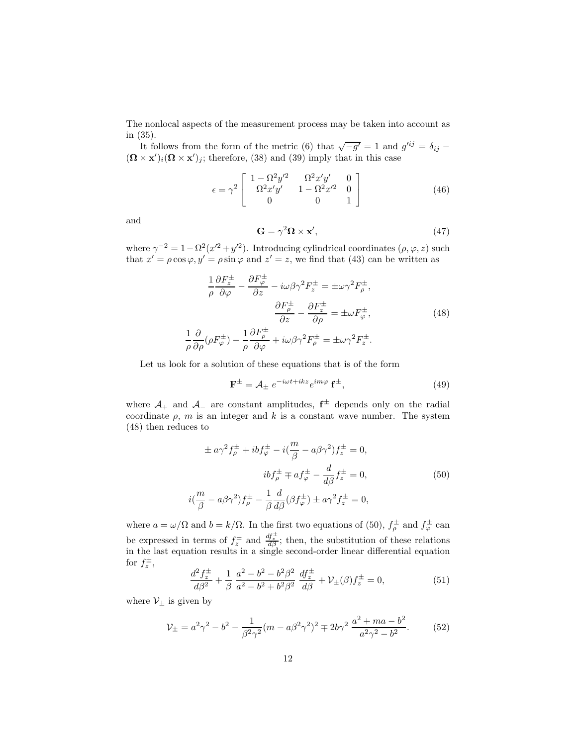The nonlocal aspects of the measurement process may be taken into account as in (35).

It follows from the form of the metric (6) that  $\sqrt{-g'} = 1$  and  $g'^{ij} = \delta_{ij}$  $((\mathbf{\Omega}\times\mathbf{x}')_i(\mathbf{\Omega}\times\mathbf{x}')_j;$  therefore, (38) and (39) imply that in this case

$$
\epsilon = \gamma^2 \begin{bmatrix} 1 - \Omega^2 y'^2 & \Omega^2 x' y' & 0 \\ \Omega^2 x' y' & 1 - \Omega^2 x'^2 & 0 \\ 0 & 0 & 1 \end{bmatrix}
$$
 (46)

and

$$
\mathbf{G} = \gamma^2 \mathbf{\Omega} \times \mathbf{x}',\tag{47}
$$

where  $\gamma^{-2} = 1 - \Omega^2 (x^2 + y^2)$ . Introducing cylindrical coordinates  $(\rho, \varphi, z)$  such that  $x' = \rho \cos \varphi, y' = \rho \sin \varphi$  and  $z' = z$ , we find that (43) can be written as

$$
\frac{1}{\rho} \frac{\partial F_z^{\pm}}{\partial \varphi} - \frac{\partial F_{\varphi}^{\pm}}{\partial z} - i\omega \beta \gamma^2 F_z^{\pm} = \pm \omega \gamma^2 F_{\rho}^{\pm},
$$

$$
\frac{\partial F_{\rho}^{\pm}}{\partial z} - \frac{\partial F_z^{\pm}}{\partial \rho} = \pm \omega F_{\varphi}^{\pm},
$$

$$
\frac{\partial}{\partial \rho} (\rho F_{\varphi}^{\pm}) - \frac{1}{\rho} \frac{\partial F_{\rho}^{\pm}}{\partial \varphi} + i\omega \beta \gamma^2 F_{\rho}^{\pm} = \pm \omega \gamma^2 F_z^{\pm}.
$$
(48)

Let us look for a solution of these equations that is of the form

$$
\mathbf{F}^{\pm} = \mathcal{A}_{\pm} e^{-i\omega t + ikz} e^{im\varphi} \mathbf{f}^{\pm}, \tag{49}
$$

where  $\mathcal{A}_+$  and  $\mathcal{A}_-$  are constant amplitudes,  $\mathbf{f}^{\pm}$  depends only on the radial coordinate  $\rho$ , m is an integer and k is a constant wave number. The system (48) then reduces to

$$
\pm a\gamma^2 f_{\rho}^{\pm} + ibf_{\varphi}^{\pm} - i(\frac{m}{\beta} - a\beta\gamma^2) f_{z}^{\pm} = 0,
$$
  

$$
ibf_{\rho}^{\pm} \mp af_{\varphi}^{\pm} - \frac{d}{d\beta} f_{z}^{\pm} = 0,
$$
  

$$
i(\frac{m}{\beta} - a\beta\gamma^2) f_{\rho}^{\pm} - \frac{1}{\beta} \frac{d}{d\beta} (\beta f_{\varphi}^{\pm}) \pm a\gamma^2 f_{z}^{\pm} = 0,
$$
 (50)

where  $a = \omega/\Omega$  and  $b = k/\Omega$ . In the first two equations of (50),  $f_{\rho}^{\pm}$  and  $f_{\varphi}^{\pm}$  can be expressed in terms of  $f_z^{\pm}$  and  $\frac{df_z^{\pm}}{d\beta}$ ; then, the substitution of these relations in the last equation results in a single second-order linear differential equation for  $f_z^{\pm}$ ,

$$
\frac{d^2 f_z^{\pm}}{d\beta^2} + \frac{1}{\beta} \frac{a^2 - b^2 - b^2 \beta^2}{a^2 - b^2 + b^2 \beta^2} \frac{df_z^{\pm}}{d\beta} + \mathcal{V}_{\pm}(\beta) f_z^{\pm} = 0,
$$
\n(51)

where  $\mathcal{V}_\pm$  is given by

1 ρ

$$
\mathcal{V}_{\pm} = a^2 \gamma^2 - b^2 - \frac{1}{\beta^2 \gamma^2} (m - a \beta^2 \gamma^2)^2 \mp 2b \gamma^2 \frac{a^2 + ma - b^2}{a^2 \gamma^2 - b^2}.
$$
 (52)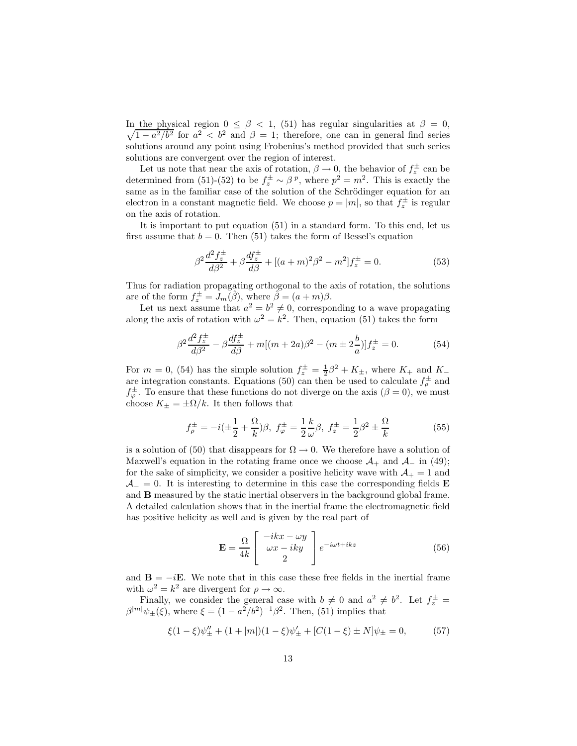In the physical region  $0 \leq \beta \leq 1$ , (51) has regular singularities at  $\beta = 0$ ,  $\sqrt{1-a^2/b^2}$  for  $a^2 < b^2$  and  $\beta = 1$ ; therefore, one can in general find series solutions around any point using Frobenius's method provided that such series solutions are convergent over the region of interest.

Let us note that near the axis of rotation,  $\beta \to 0$ , the behavior of  $f_z^{\pm}$  can be determined from (51)-(52) to be  $f_z^{\pm} \sim \beta^p$ , where  $p^2 = m^2$ . This is exactly the same as in the familiar case of the solution of the Schrödinger equation for an electron in a constant magnetic field. We choose  $p = |m|$ , so that  $f_z^{\pm}$  is regular on the axis of rotation.

It is important to put equation (51) in a standard form. To this end, let us first assume that  $b = 0$ . Then (51) takes the form of Bessel's equation

$$
\beta^2 \frac{d^2 f_z^{\pm}}{d\beta^2} + \beta \frac{df_z^{\pm}}{d\beta} + [(a+m)^2 \beta^2 - m^2] f_z^{\pm} = 0.
$$
 (53)

Thus for radiation propagating orthogonal to the axis of rotation, the solutions are of the form  $f_z^{\pm} = J_m(\hat{\beta})$ , where  $\tilde{\beta} = (a+m)\beta$ .

Let us next assume that  $a^2 = b^2 \neq 0$ , corresponding to a wave propagating along the axis of rotation with  $\omega^2 = k^2$ . Then, equation (51) takes the form

$$
\beta^2 \frac{d^2 f_z^{\pm}}{d\beta^2} - \beta \frac{df_z^{\pm}}{d\beta} + m[(m+2a)\beta^2 - (m \pm 2\frac{b}{a})]f_z^{\pm} = 0.
$$
 (54)

For  $m = 0$ , (54) has the simple solution  $f_z^{\pm} = \frac{1}{2}\beta^2 + K_{\pm}$ , where  $K_{+}$  and  $K_{-}$ are integration constants. Equations (50) can then be used to calculate  $f_{\rho}^{\pm}$  and  $f_{\varphi}^{\pm}$ . To ensure that these functions do not diverge on the axis  $(\beta = 0)$ , we must choose  $K_{\pm} = \pm \Omega/k$ . It then follows that

$$
f_{\rho}^{\pm} = -i(\pm \frac{1}{2} + \frac{\Omega}{k})\beta, \ f_{\varphi}^{\pm} = \frac{1}{2} \frac{k}{\omega} \beta, \ f_{z}^{\pm} = \frac{1}{2} \beta^{2} \pm \frac{\Omega}{k}
$$
(55)

is a solution of (50) that disappears for  $\Omega \to 0$ . We therefore have a solution of Maxwell's equation in the rotating frame once we choose  $\mathcal{A}_+$  and  $\mathcal{A}_-$  in (49); for the sake of simplicity, we consider a positive helicity wave with  $A_+ = 1$  and  $\mathcal{A}_{-}=0$ . It is interesting to determine in this case the corresponding fields **E** and B measured by the static inertial observers in the background global frame. A detailed calculation shows that in the inertial frame the electromagnetic field has positive helicity as well and is given by the real part of

$$
\mathbf{E} = \frac{\Omega}{4k} \begin{bmatrix} -ikx - \omega y \\ \omega x - iky \\ 2 \end{bmatrix} e^{-i\omega t + ikz}
$$
(56)

and  $\mathbf{B} = -i\mathbf{E}$ . We note that in this case these free fields in the inertial frame with  $\omega^2 = k^2$  are divergent for  $\rho \to \infty$ .

Finally, we consider the general case with  $b \neq 0$  and  $a^2 \neq b^2$ . Let  $f_z^{\pm} =$  $\beta^{|m|}\psi_{\pm}(\xi)$ , where  $\xi = (1 - a^2/b^2)^{-1}\beta^2$ . Then, (51) implies that

$$
\xi(1-\xi)\psi''_{\pm} + (1+|m|)(1-\xi)\psi'_{\pm} + [C(1-\xi)\pm N]\psi_{\pm} = 0, \qquad (57)
$$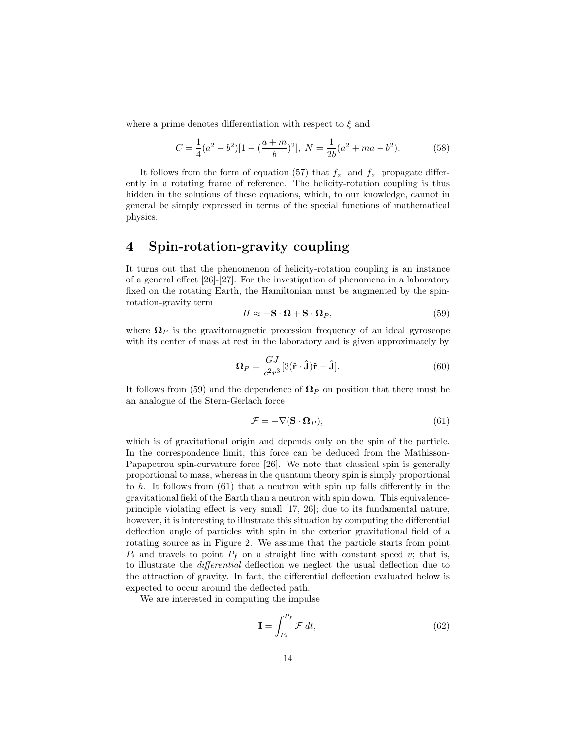where a prime denotes differentiation with respect to  $\xi$  and

$$
C = \frac{1}{4}(a^2 - b^2)[1 - (\frac{a+m}{b})^2], \ N = \frac{1}{2b}(a^2 + ma - b^2).
$$
 (58)

It follows from the form of equation (57) that  $f_z^+$  and  $f_z^-$  propagate differently in a rotating frame of reference. The helicity-rotation coupling is thus hidden in the solutions of these equations, which, to our knowledge, cannot in general be simply expressed in terms of the special functions of mathematical physics.

### 4 Spin-rotation-gravity coupling

It turns out that the phenomenon of helicity-rotation coupling is an instance of a general effect [26]-[27]. For the investigation of phenomena in a laboratory fixed on the rotating Earth, the Hamiltonian must be augmented by the spinrotation-gravity term

$$
H \approx -\mathbf{S} \cdot \mathbf{\Omega} + \mathbf{S} \cdot \mathbf{\Omega}_P,\tag{59}
$$

where  $\Omega_P$  is the gravitomagnetic precession frequency of an ideal gyroscope with its center of mass at rest in the laboratory and is given approximately by

$$
\mathbf{\Omega}_P = \frac{GJ}{c^2 r^3} [3(\hat{\mathbf{r}} \cdot \hat{\mathbf{J}})\hat{\mathbf{r}} - \hat{\mathbf{J}}]. \tag{60}
$$

It follows from (59) and the dependence of  $\Omega_P$  on position that there must be an analogue of the Stern-Gerlach force

$$
\mathcal{F} = -\nabla(\mathbf{S} \cdot \mathbf{\Omega}_P),\tag{61}
$$

which is of gravitational origin and depends only on the spin of the particle. In the correspondence limit, this force can be deduced from the Mathisson-Papapetrou spin-curvature force [26]. We note that classical spin is generally proportional to mass, whereas in the quantum theory spin is simply proportional to  $\hbar$ . It follows from (61) that a neutron with spin up falls differently in the gravitational field of the Earth than a neutron with spin down. This equivalenceprinciple violating effect is very small [17, 26]; due to its fundamental nature, however, it is interesting to illustrate this situation by computing the differential deflection angle of particles with spin in the exterior gravitational field of a rotating source as in Figure 2. We assume that the particle starts from point  $P_i$  and travels to point  $P_f$  on a straight line with constant speed v; that is, to illustrate the differential deflection we neglect the usual deflection due to the attraction of gravity. In fact, the differential deflection evaluated below is expected to occur around the deflected path.

We are interested in computing the impulse

$$
\mathbf{I} = \int_{P_i}^{P_f} \mathcal{F} dt,\tag{62}
$$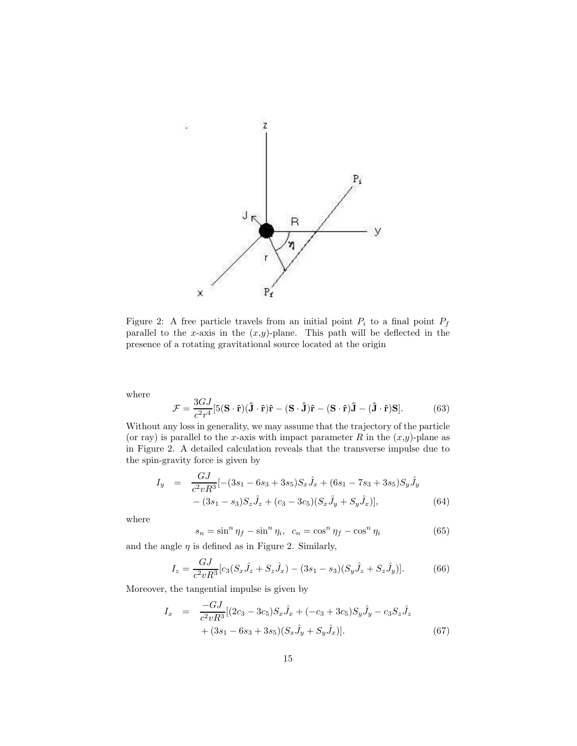

Figure 2: A free particle travels from an initial point  $P_i$  to a final point  $P_f$ parallel to the x-axis in the  $(x,y)$ -plane. This path will be deflected in the presence of a rotating gravitational source located at the origin

where

$$
\mathcal{F} = \frac{3GJ}{c^2 r^4} [5(\mathbf{S} \cdot \hat{\mathbf{r}})(\hat{\mathbf{J}} \cdot \hat{\mathbf{r}})\hat{\mathbf{r}} - (\mathbf{S} \cdot \hat{\mathbf{J}})\hat{\mathbf{r}} - (\mathbf{S} \cdot \hat{\mathbf{r}})\hat{\mathbf{J}} - (\hat{\mathbf{J}} \cdot \hat{\mathbf{r}})\mathbf{S}].
$$
 (63)

Without any loss in generality, we may assume that the trajectory of the particle (or ray) is parallel to the x-axis with impact parameter R in the  $(x,y)$ -plane as in Figure 2. A detailed calculation reveals that the transverse impulse due to the spin-gravity force is given by

$$
I_y = \frac{GJ}{c^2vR^3}[-(3s_1 - 6s_3 + 3s_5)S_x\hat{J}_x + (6s_1 - 7s_3 + 3s_5)S_y\hat{J}_y - (3s_1 - s_3)S_z\hat{J}_z + (c_3 - 3c_5)(S_x\hat{J}_y + S_y\hat{J}_x)],
$$
\n(64)

where

$$
s_n = \sin^n \eta_f - \sin^n \eta_i, \ \ c_n = \cos^n \eta_f - \cos^n \eta_i \tag{65}
$$

and the angle  $\eta$  is defined as in Figure 2. Similarly,

$$
I_z = \frac{GJ}{c^2vR^3}[c_3(S_x\hat{J}_z + S_z\hat{J}_x) - (3s_1 - s_3)(S_y\hat{J}_z + S_z\hat{J}_y)].
$$
 (66)

Moreover, the tangential impulse is given by

$$
I_x = \frac{-GJ}{c^2vR^3}[(2c_3 - 3c_5)S_x \hat{J}_x + (-c_3 + 3c_5)S_y \hat{J}_y - c_3S_z \hat{J}_z + (3s_1 - 6s_3 + 3s_5)(S_x \hat{J}_y + S_y \hat{J}_x)].
$$
\n(67)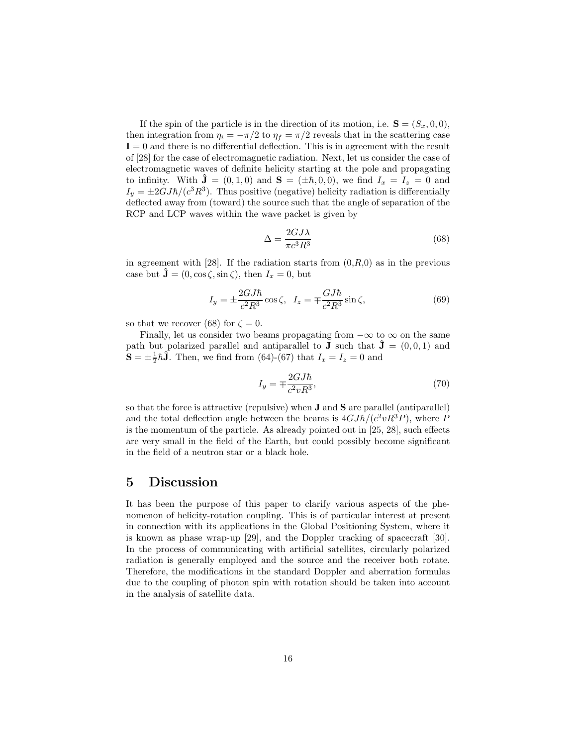If the spin of the particle is in the direction of its motion, i.e.  $S = (S_x, 0, 0),$ then integration from  $\eta_i = -\pi/2$  to  $\eta_f = \pi/2$  reveals that in the scattering case  $I = 0$  and there is no differential deflection. This is in agreement with the result of [28] for the case of electromagnetic radiation. Next, let us consider the case of electromagnetic waves of definite helicity starting at the pole and propagating to infinity. With  $\mathbf{\hat{J}} = (0, 1, 0)$  and  $\mathbf{S} = (\pm \hbar, 0, 0)$ , we find  $I_x = I_z = 0$  and  $I_y = \pm 2GJ\hbar/(c^3R^3)$ . Thus positive (negative) helicity radiation is differentially deflected away from (toward) the source such that the angle of separation of the RCP and LCP waves within the wave packet is given by

$$
\Delta = \frac{2GJ\lambda}{\pi c^3 R^3} \tag{68}
$$

in agreement with [28]. If the radiation starts from  $(0, R, 0)$  as in the previous case but  $\hat{\mathbf{J}} = (0, \cos \zeta, \sin \zeta),$  then  $I_x = 0$ , but

$$
I_y = \pm \frac{2GJ\hbar}{c^2 R^3} \cos \zeta, \quad I_z = \mp \frac{GJ\hbar}{c^2 R^3} \sin \zeta,
$$
\n(69)

so that we recover (68) for  $\zeta = 0$ .

Finally, let us consider two beams propagating from  $-\infty$  to  $\infty$  on the same path but polarized parallel and antiparallel to **J** such that  $\mathbf{\hat{J}} = (0,0,1)$  and  $\mathbf{S} = \pm \frac{1}{2} \hbar \hat{\mathbf{J}}$ . Then, we find from (64)-(67) that  $I_x = I_z = 0$  and

$$
I_y = \pm \frac{2GJ\hbar}{c^2vR^3},\tag{70}
$$

so that the force is attractive (repulsive) when J and S are parallel (antiparallel) and the total deflection angle between the beams is  $4GJ\hbar/(c^2vR^3P)$ , where P is the momentum of the particle. As already pointed out in [25, 28], such effects are very small in the field of the Earth, but could possibly become significant in the field of a neutron star or a black hole.

#### 5 Discussion

It has been the purpose of this paper to clarify various aspects of the phenomenon of helicity-rotation coupling. This is of particular interest at present in connection with its applications in the Global Positioning System, where it is known as phase wrap-up [29], and the Doppler tracking of spacecraft [30]. In the process of communicating with artificial satellites, circularly polarized radiation is generally employed and the source and the receiver both rotate. Therefore, the modifications in the standard Doppler and aberration formulas due to the coupling of photon spin with rotation should be taken into account in the analysis of satellite data.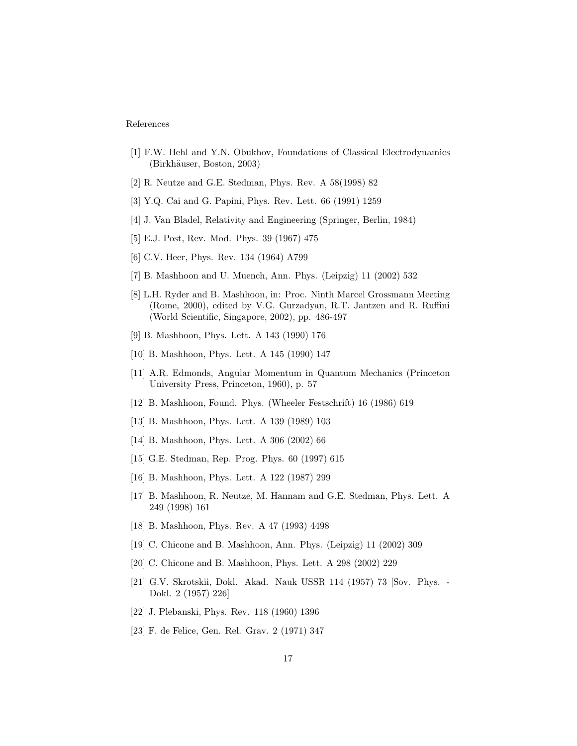#### References

- [1] F.W. Hehl and Y.N. Obukhov, Foundations of Classical Electrodynamics (Birkhäuser, Boston, 2003)
- [2] R. Neutze and G.E. Stedman, Phys. Rev. A 58(1998) 82
- [3] Y.Q. Cai and G. Papini, Phys. Rev. Lett. 66 (1991) 1259
- [4] J. Van Bladel, Relativity and Engineering (Springer, Berlin, 1984)
- [5] E.J. Post, Rev. Mod. Phys. 39 (1967) 475
- [6] C.V. Heer, Phys. Rev. 134 (1964) A799
- [7] B. Mashhoon and U. Muench, Ann. Phys. (Leipzig) 11 (2002) 532
- [8] L.H. Ryder and B. Mashhoon, in: Proc. Ninth Marcel Grossmann Meeting (Rome, 2000), edited by V.G. Gurzadyan, R.T. Jantzen and R. Ruffini (World Scientific, Singapore, 2002), pp. 486-497
- [9] B. Mashhoon, Phys. Lett. A 143 (1990) 176
- [10] B. Mashhoon, Phys. Lett. A 145 (1990) 147
- [11] A.R. Edmonds, Angular Momentum in Quantum Mechanics (Princeton University Press, Princeton, 1960), p. 57
- [12] B. Mashhoon, Found. Phys. (Wheeler Festschrift) 16 (1986) 619
- [13] B. Mashhoon, Phys. Lett. A 139 (1989) 103
- [14] B. Mashhoon, Phys. Lett. A 306 (2002) 66
- [15] G.E. Stedman, Rep. Prog. Phys. 60 (1997) 615
- [16] B. Mashhoon, Phys. Lett. A 122 (1987) 299
- [17] B. Mashhoon, R. Neutze, M. Hannam and G.E. Stedman, Phys. Lett. A 249 (1998) 161
- [18] B. Mashhoon, Phys. Rev. A 47 (1993) 4498
- [19] C. Chicone and B. Mashhoon, Ann. Phys. (Leipzig) 11 (2002) 309
- [20] C. Chicone and B. Mashhoon, Phys. Lett. A 298 (2002) 229
- [21] G.V. Skrotskii, Dokl. Akad. Nauk USSR 114 (1957) 73 [Sov. Phys. Dokl. 2 (1957) 226]
- [22] J. Plebanski, Phys. Rev. 118 (1960) 1396
- [23] F. de Felice, Gen. Rel. Grav. 2 (1971) 347